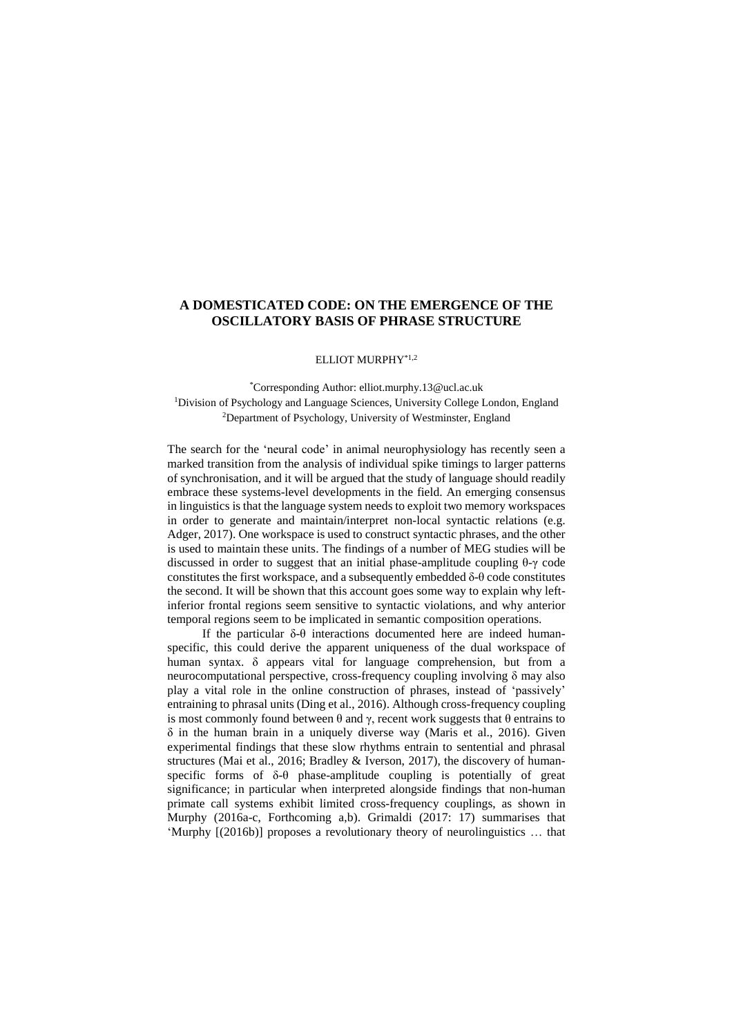## **A DOMESTICATED CODE: ON THE EMERGENCE OF THE OSCILLATORY BASIS OF PHRASE STRUCTURE**

## ELLIOT MURPHY\*1,2

\*Corresponding Author: elliot.murphy.13@ucl.ac.uk <sup>1</sup>Division of Psychology and Language Sciences, University College London, England <sup>2</sup>Department of Psychology, University of Westminster, England

The search for the 'neural code' in animal neurophysiology has recently seen a marked transition from the analysis of individual spike timings to larger patterns of synchronisation, and it will be argued that the study of language should readily embrace these systems-level developments in the field. An emerging consensus in linguistics is that the language system needs to exploit two memory workspaces in order to generate and maintain/interpret non-local syntactic relations (e.g. Adger, 2017). One workspace is used to construct syntactic phrases, and the other is used to maintain these units. The findings of a number of MEG studies will be discussed in order to suggest that an initial phase-amplitude coupling θ-γ code constitutes the first workspace, and a subsequently embedded  $\delta$ -θ code constitutes the second. It will be shown that this account goes some way to explain why leftinferior frontal regions seem sensitive to syntactic violations, and why anterior temporal regions seem to be implicated in semantic composition operations.

If the particular δ-θ interactions documented here are indeed humanspecific, this could derive the apparent uniqueness of the dual workspace of human syntax. δ appears vital for language comprehension, but from a neurocomputational perspective, cross-frequency coupling involving δ may also play a vital role in the online construction of phrases, instead of 'passively' entraining to phrasal units (Ding et al., 2016). Although cross-frequency coupling is most commonly found between θ and γ, recent work suggests that θ entrains to δ in the human brain in a uniquely diverse way (Maris et al., 2016). Given experimental findings that these slow rhythms entrain to sentential and phrasal structures (Mai et al., 2016; Bradley & Iverson, 2017), the discovery of humanspecific forms of δ-θ phase-amplitude coupling is potentially of great significance; in particular when interpreted alongside findings that non-human primate call systems exhibit limited cross-frequency couplings, as shown in Murphy (2016a-c, Forthcoming a,b). Grimaldi (2017: 17) summarises that 'Murphy [(2016b)] proposes a revolutionary theory of neurolinguistics … that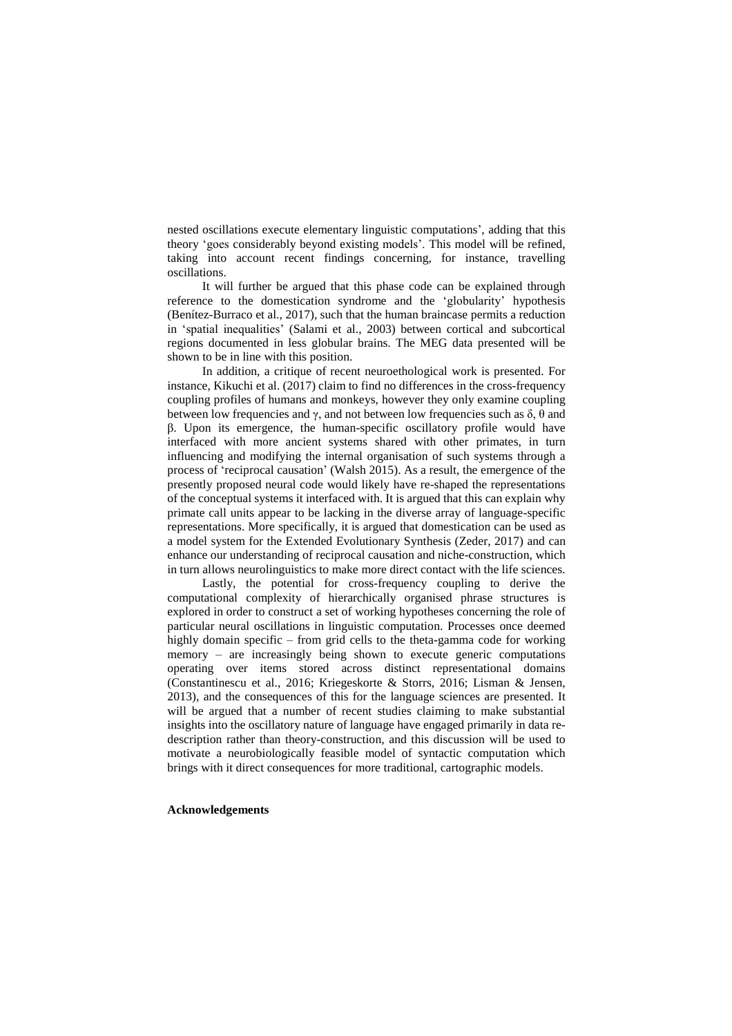nested oscillations execute elementary linguistic computations', adding that this theory 'goes considerably beyond existing models'. This model will be refined, taking into account recent findings concerning, for instance, travelling oscillations.

It will further be argued that this phase code can be explained through reference to the domestication syndrome and the 'globularity' hypothesis (Benítez-Burraco et al., 2017), such that the human braincase permits a reduction in 'spatial inequalities' (Salami et al., 2003) between cortical and subcortical regions documented in less globular brains. The MEG data presented will be shown to be in line with this position.

In addition, a critique of recent neuroethological work is presented. For instance, Kikuchi et al. (2017) claim to find no differences in the cross-frequency coupling profiles of humans and monkeys, however they only examine coupling between low frequencies and  $\gamma$ , and not between low frequencies such as  $\delta$ ,  $\theta$  and β. Upon its emergence, the human-specific oscillatory profile would have interfaced with more ancient systems shared with other primates, in turn influencing and modifying the internal organisation of such systems through a process of 'reciprocal causation' (Walsh 2015). As a result, the emergence of the presently proposed neural code would likely have re-shaped the representations of the conceptual systems it interfaced with. It is argued that this can explain why primate call units appear to be lacking in the diverse array of language-specific representations. More specifically, it is argued that domestication can be used as a model system for the Extended Evolutionary Synthesis (Zeder, 2017) and can enhance our understanding of reciprocal causation and niche-construction, which in turn allows neurolinguistics to make more direct contact with the life sciences.

Lastly, the potential for cross-frequency coupling to derive the computational complexity of hierarchically organised phrase structures is explored in order to construct a set of working hypotheses concerning the role of particular neural oscillations in linguistic computation. Processes once deemed highly domain specific – from grid cells to the theta-gamma code for working memory – are increasingly being shown to execute generic computations operating over items stored across distinct representational domains (Constantinescu et al., 2016; Kriegeskorte & Storrs, 2016; Lisman & Jensen, 2013), and the consequences of this for the language sciences are presented. It will be argued that a number of recent studies claiming to make substantial insights into the oscillatory nature of language have engaged primarily in data redescription rather than theory-construction, and this discussion will be used to motivate a neurobiologically feasible model of syntactic computation which brings with it direct consequences for more traditional, cartographic models.

## **Acknowledgements**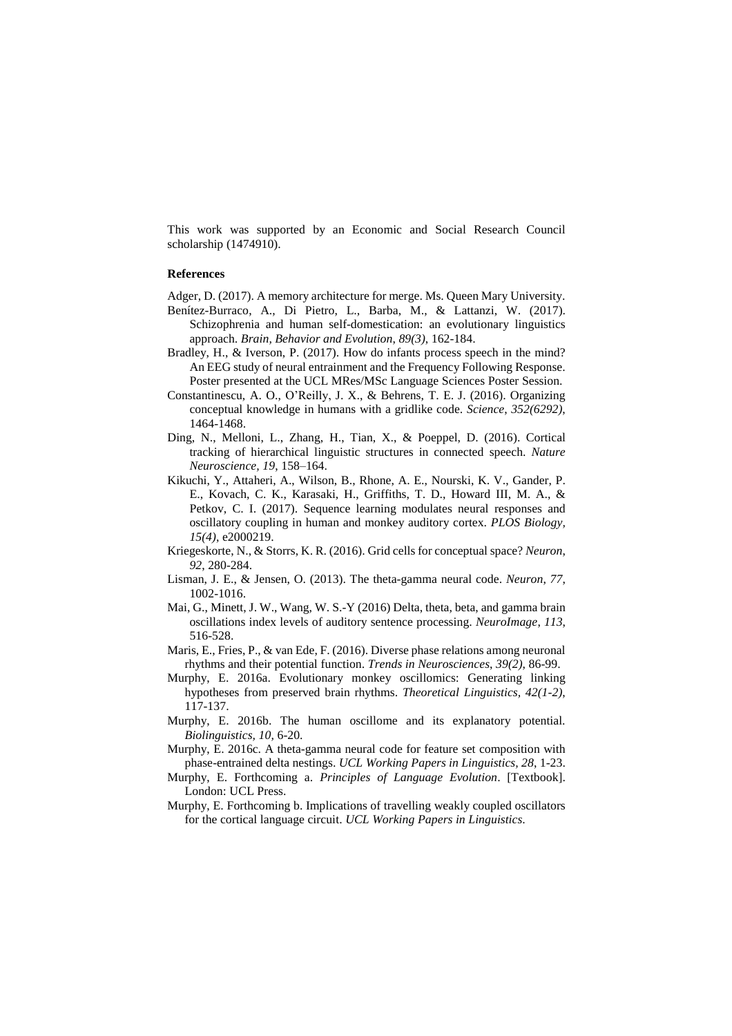This work was supported by an Economic and Social Research Council scholarship (1474910).

## **References**

- Adger, D. (2017). A memory architecture for merge. Ms. Queen Mary University.
- Benítez-Burraco, A., Di Pietro, L., Barba, M., & Lattanzi, W. (2017). Schizophrenia and human [self-domestication:](https://www.ncbi.nlm.nih.gov/pubmed/28463847) an evolutionary linguistics [approach.](https://www.ncbi.nlm.nih.gov/pubmed/28463847) *Brain, Behavior and Evolution*, *89(3)*, 162-184.
- Bradley, H., & Iverson, P. (2017). How do infants process speech in the mind? An EEG study of neural entrainment and the Frequency Following Response. Poster presented at the UCL MRes/MSc Language Sciences Poster Session.
- Constantinescu, A. O., O'Reilly, J. X., & Behrens, T. E. J. (2016). Organizing conceptual knowledge in humans with a gridlike code. *Science*, *352(6292)*, 1464-1468.
- Ding, N., Melloni, L., Zhang, H., Tian, X., & Poeppel, D. (2016). Cortical tracking of hierarchical linguistic structures in connected speech. *Nature Neuroscience, 19*, 158–164.
- Kikuchi, Y., Attaheri, A., Wilson, B., Rhone, A. E., Nourski, K. V., Gander, P. E., Kovach, C. K., Karasaki, H., Griffiths, T. D., Howard III, M. A., & Petkov, C. I. (2017). Sequence learning modulates neural responses and oscillatory coupling in human and monkey auditory cortex. *PLOS Biology, 15(4)*, e2000219.
- Kriegeskorte, N., & Storrs, K. R. (2016). Grid cells for conceptual space? *Neuron*, *92*, 280-284.
- Lisman, J. E., & Jensen, O. (2013). The theta-gamma neural code. *Neuron*, *77*, 1002-1016.
- Mai, G., Minett, J. W., Wang, W. S.-Y (2016) Delta, theta, beta, and gamma brain oscillations index levels of auditory sentence processing. *NeuroImage*, *113*, 516-528.
- Maris, E., Fries, P., & van Ede, F. (2016). Diverse phase relations among neuronal rhythms and their potential function. *Trends in Neurosciences*, *39(2)*, 86-99.
- Murphy, E. 2016a. Evolutionary monkey oscillomics: Generating linking hypotheses from preserved brain rhythms. *Theoretical Linguistics, 42(1-2)*, 117-137.
- Murphy, E. 2016b. The human oscillome and its explanatory potential. *Biolinguistics, 10,* 6-20.
- Murphy, E. 2016c. A theta-gamma neural code for feature set composition with phase-entrained delta nestings. *UCL Working Papers in Linguistics, 28*, 1-23.
- Murphy, E. Forthcoming a. *Principles of Language Evolution*. [Textbook]. London: UCL Press.
- Murphy, E. Forthcoming b. Implications of travelling weakly coupled oscillators for the cortical language circuit. *UCL Working Papers in Linguistics*.